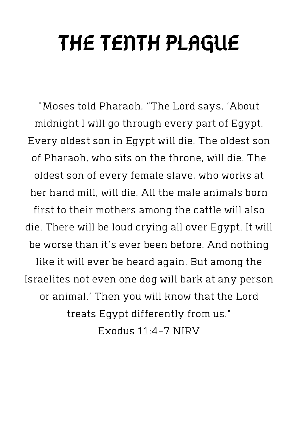## THE TENTH PLAGUE

"Moses told Pharaoh, "The Lord says, 'About midnight I will go through every part of Egypt. Every oldest son in Egypt will die. The oldest son of Pharaoh, who sits on the throne, will die. The oldest son of every female slave, who works at her hand mill, will die. All the male animals born first to their mothers among the cattle will also die. There will be loud crying all over Egypt. It will be worse than it's ever been before. And nothing like it will ever be heard again. But among the Israelites not even one dog will bark at any person or animal.' Then you will know that the Lord treats Egypt differently from us." Exodus 11:4-7 NIRV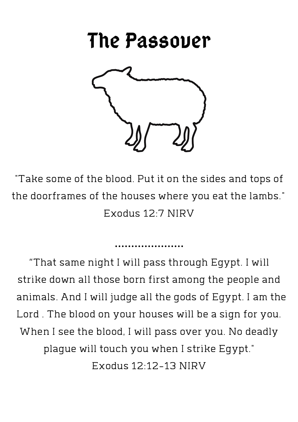## The Passover



"Take some of the blood. Put it on the sides and tops of the doorframes of the houses where you eat the lambs." Exodus 12:7 NIRV

"That same night I will pass through Egypt. I will strike down all those born first among the people and animals. And I will judge all the gods of Egypt. I am the Lord . The blood on your houses will be a sign for you. When I see the blood, I will pass over you. No deadly plague will touch you when I strike Egypt." Exodus 12:12-13 NIRV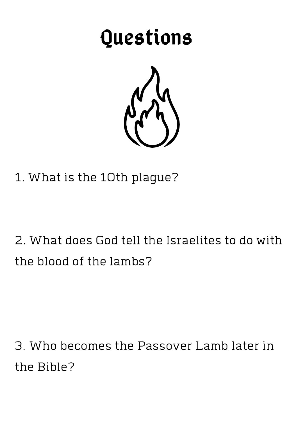## Questions



1. What is the 10th plague?

2. What does God tell the Israelites to do with the blood of the lambs?

3. Who becomes the Passover Lamb later in the Bible?